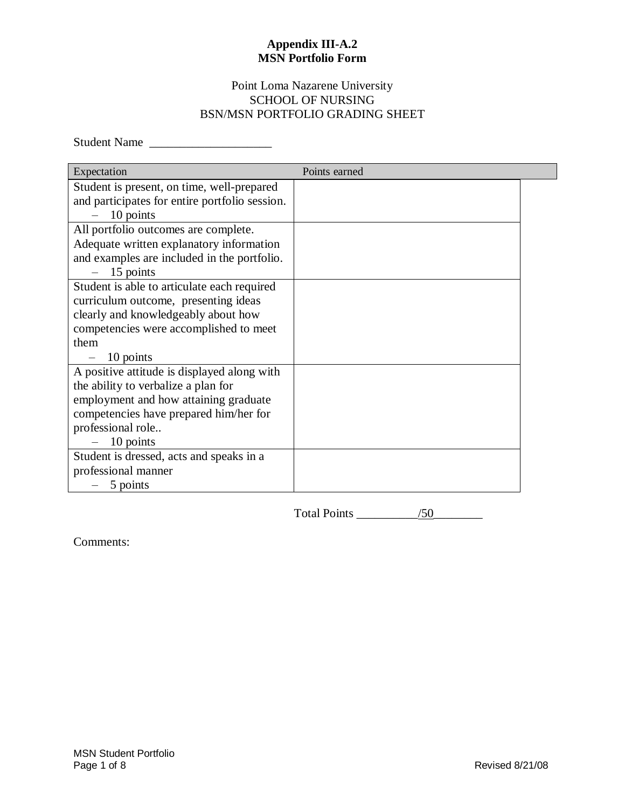## Point Loma Nazarene University SCHOOL OF NURSING BSN/MSN PORTFOLIO GRADING SHEET

Student Name

| Expectation                                    | Points earned |  |
|------------------------------------------------|---------------|--|
| Student is present, on time, well-prepared     |               |  |
| and participates for entire portfolio session. |               |  |
| 10 points                                      |               |  |
| All portfolio outcomes are complete.           |               |  |
| Adequate written explanatory information       |               |  |
| and examples are included in the portfolio.    |               |  |
| 15 points                                      |               |  |
| Student is able to articulate each required    |               |  |
| curriculum outcome, presenting ideas           |               |  |
| clearly and knowledgeably about how            |               |  |
| competencies were accomplished to meet         |               |  |
| them                                           |               |  |
| 10 points                                      |               |  |
| A positive attitude is displayed along with    |               |  |
| the ability to verbalize a plan for            |               |  |
| employment and how attaining graduate          |               |  |
| competencies have prepared him/her for         |               |  |
| professional role                              |               |  |
| 10 points                                      |               |  |
| Student is dressed, acts and speaks in a       |               |  |
| professional manner                            |               |  |
| 5 points                                       |               |  |

Total Points  $\frac{1}{50}$ 

Comments: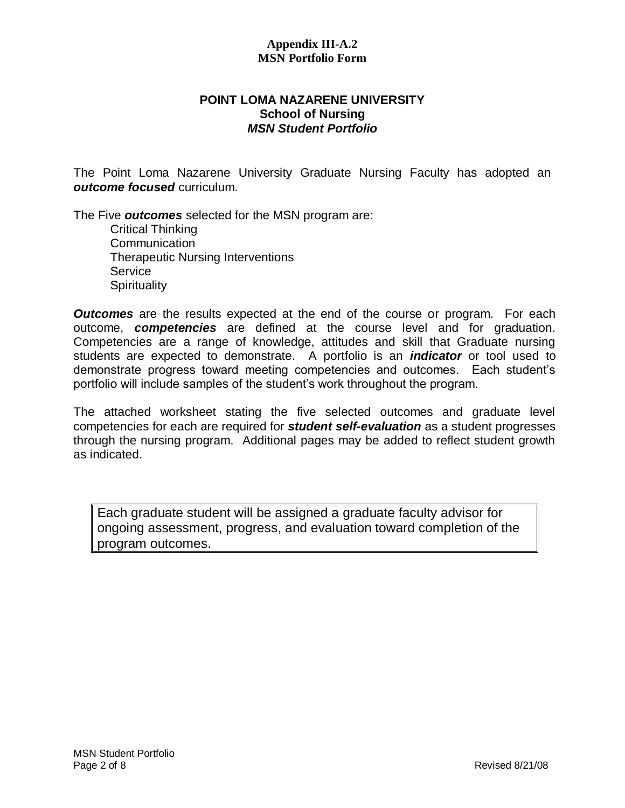## **POINT LOMA NAZARENE UNIVERSITY School of Nursing** *MSN Student Portfolio*

The Point Loma Nazarene University Graduate Nursing Faculty has adopted an *outcome focused* curriculum.

The Five *outcomes* selected for the MSN program are:

Critical Thinking Communication Therapeutic Nursing Interventions **Service Spirituality** 

*Outcomes* are the results expected at the end of the course or program. For each outcome, *competencies* are defined at the course level and for graduation. Competencies are a range of knowledge, attitudes and skill that Graduate nursing students are expected to demonstrate. A portfolio is an *indicator* or tool used to demonstrate progress toward meeting competencies and outcomes. Each student's portfolio will include samples of the student's work throughout the program.

The attached worksheet stating the five selected outcomes and graduate level competencies for each are required for *student self-evaluation* as a student progresses through the nursing program. Additional pages may be added to reflect student growth as indicated.

Each graduate student will be assigned a graduate faculty advisor for ongoing assessment, progress, and evaluation toward completion of the program outcomes.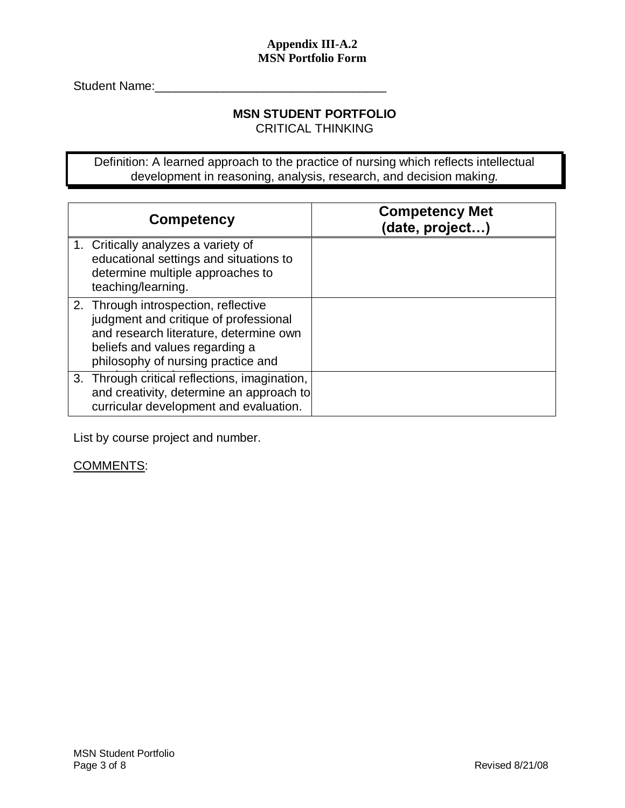Student Name:\_\_\_\_\_\_\_\_\_\_\_\_\_\_\_\_\_\_\_\_\_\_\_\_\_\_\_\_\_\_\_\_\_\_

# **MSN STUDENT PORTFOLIO**

CRITICAL THINKING

Definition: A learned approach to the practice of nursing which reflects intellectual development in reasoning, analysis, research, and decision makin*g.*

| <b>Competency</b>                                                                                                                                                                               | <b>Competency Met</b><br>(date, project) |
|-------------------------------------------------------------------------------------------------------------------------------------------------------------------------------------------------|------------------------------------------|
| 1. Critically analyzes a variety of<br>educational settings and situations to<br>determine multiple approaches to<br>teaching/learning.                                                         |                                          |
| 2. Through introspection, reflective<br>judgment and critique of professional<br>and research literature, determine own<br>beliefs and values regarding a<br>philosophy of nursing practice and |                                          |
| 3. Through critical reflections, imagination,<br>and creativity, determine an approach to<br>curricular development and evaluation.                                                             |                                          |

List by course project and number.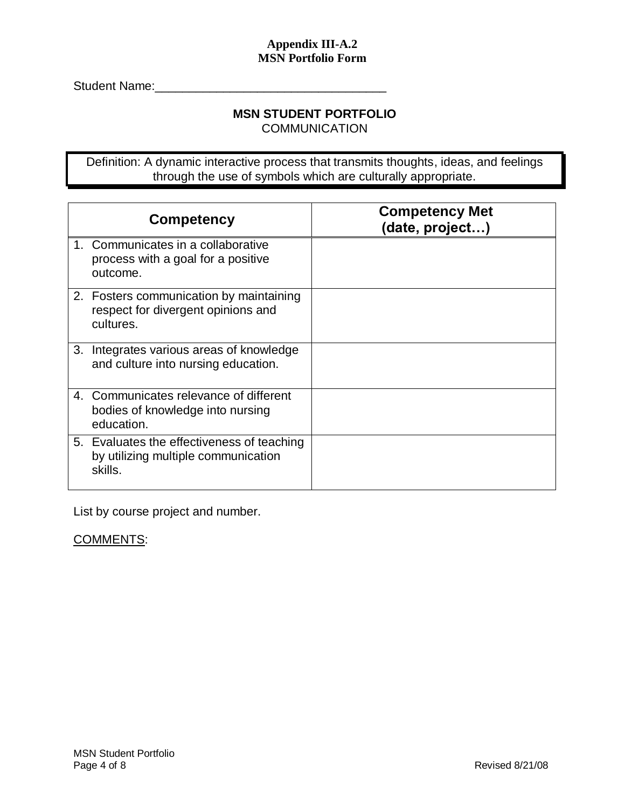Student Name:\_\_\_\_\_\_\_\_\_\_\_\_\_\_\_\_\_\_\_\_\_\_\_\_\_\_\_\_\_\_\_\_\_\_

## **MSN STUDENT PORTFOLIO**

**COMMUNICATION** 

Definition: A dynamic interactive process that transmits thoughts, ideas, and feelings through the use of symbols which are culturally appropriate.

|    | <b>Competency</b>                                                                            | <b>Competency Met</b><br>(date, project) |
|----|----------------------------------------------------------------------------------------------|------------------------------------------|
|    | 1. Communicates in a collaborative<br>process with a goal for a positive<br>outcome.         |                                          |
|    | 2. Fosters communication by maintaining<br>respect for divergent opinions and<br>cultures.   |                                          |
| 3. | Integrates various areas of knowledge<br>and culture into nursing education.                 |                                          |
|    | 4. Communicates relevance of different<br>bodies of knowledge into nursing<br>education.     |                                          |
|    | 5. Evaluates the effectiveness of teaching<br>by utilizing multiple communication<br>skills. |                                          |

List by course project and number.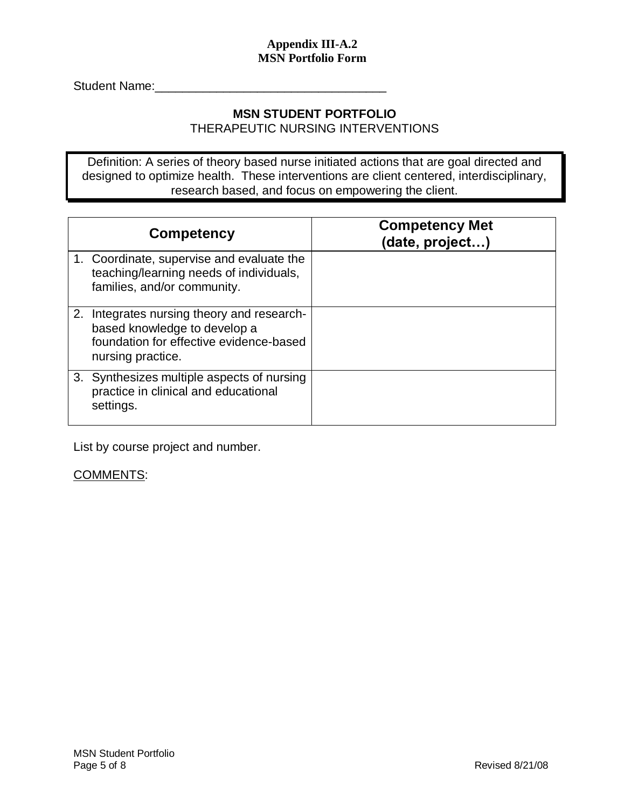Student Name:\_\_\_\_\_\_\_\_\_\_\_\_\_\_\_\_\_\_\_\_\_\_\_\_\_\_\_\_\_\_\_\_\_\_

#### **MSN STUDENT PORTFOLIO** THERAPEUTIC NURSING INTERVENTIONS

Definition: A series of theory based nurse initiated actions that are goal directed and

designed to optimize health. These interventions are client centered, interdisciplinary, research based, and focus on empowering the client.

| Competency                                                                                                                                 | <b>Competency Met</b><br>(date, project) |
|--------------------------------------------------------------------------------------------------------------------------------------------|------------------------------------------|
| 1. Coordinate, supervise and evaluate the<br>teaching/learning needs of individuals,<br>families, and/or community.                        |                                          |
| 2. Integrates nursing theory and research-<br>based knowledge to develop a<br>foundation for effective evidence-based<br>nursing practice. |                                          |
| 3. Synthesizes multiple aspects of nursing<br>practice in clinical and educational<br>settings.                                            |                                          |

List by course project and number.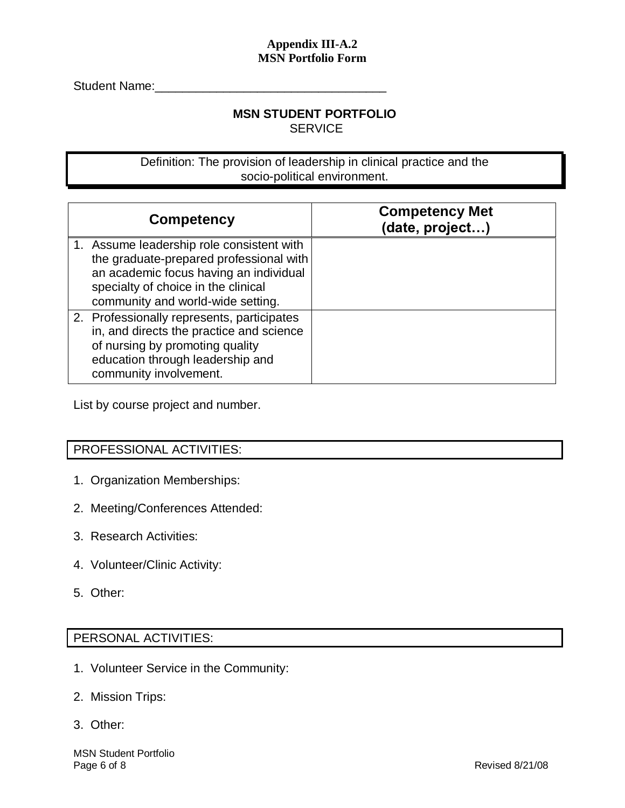Student Name:

## **MSN STUDENT PORTFOLIO SERVICE**

Definition: The provision of leadership in clinical practice and the socio-political environment.

| Competency                                                                                                                                                                                                 | <b>Competency Met</b><br>(date, project) |
|------------------------------------------------------------------------------------------------------------------------------------------------------------------------------------------------------------|------------------------------------------|
| 1. Assume leadership role consistent with<br>the graduate-prepared professional with<br>an academic focus having an individual<br>specialty of choice in the clinical<br>community and world-wide setting. |                                          |
| 2. Professionally represents, participates<br>in, and directs the practice and science<br>of nursing by promoting quality<br>education through leadership and<br>community involvement.                    |                                          |

List by course project and number.

## PROFESSIONAL ACTIVITIES:

- 1. Organization Memberships:
- 2. Meeting/Conferences Attended:
- 3. Research Activities:
- 4. Volunteer/Clinic Activity:
- 5. Other:

## PERSONAL ACTIVITIES:

- 1. Volunteer Service in the Community:
- 2. Mission Trips:
- 3. Other: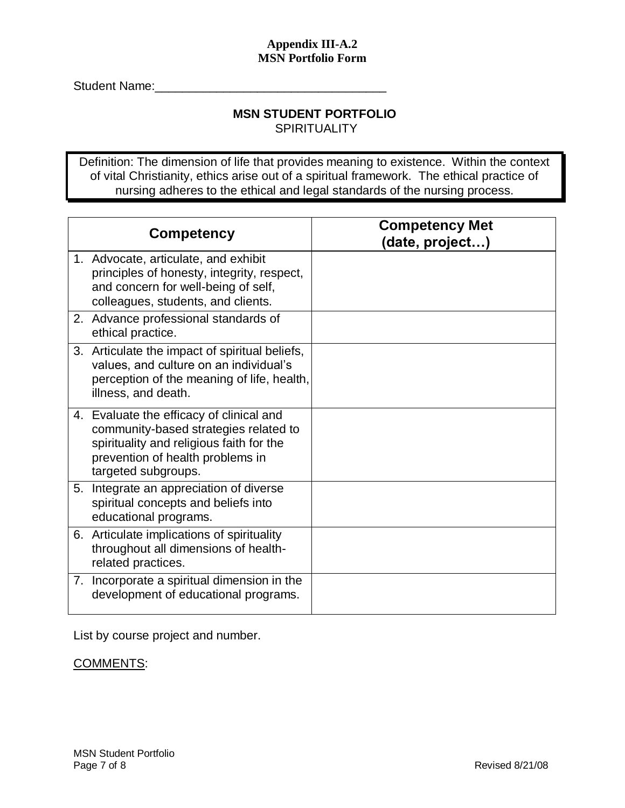Student Name:

#### **MSN STUDENT PORTFOLIO SPIRITUALITY**

Definition: The dimension of life that provides meaning to existence. Within the context of vital Christianity, ethics arise out of a spiritual framework. The ethical practice of nursing adheres to the ethical and legal standards of the nursing process.

| <b>Competency</b>                                                                                                                                                                        | <b>Competency Met</b><br>(date, project) |
|------------------------------------------------------------------------------------------------------------------------------------------------------------------------------------------|------------------------------------------|
| 1. Advocate, articulate, and exhibit<br>principles of honesty, integrity, respect,<br>and concern for well-being of self,<br>colleagues, students, and clients.                          |                                          |
| 2. Advance professional standards of<br>ethical practice.                                                                                                                                |                                          |
| 3. Articulate the impact of spiritual beliefs,<br>values, and culture on an individual's<br>perception of the meaning of life, health,<br>illness, and death.                            |                                          |
| 4. Evaluate the efficacy of clinical and<br>community-based strategies related to<br>spirituality and religious faith for the<br>prevention of health problems in<br>targeted subgroups. |                                          |
| 5. Integrate an appreciation of diverse<br>spiritual concepts and beliefs into<br>educational programs.                                                                                  |                                          |
| 6. Articulate implications of spirituality<br>throughout all dimensions of health-<br>related practices.                                                                                 |                                          |
| 7. Incorporate a spiritual dimension in the<br>development of educational programs.                                                                                                      |                                          |

List by course project and number.